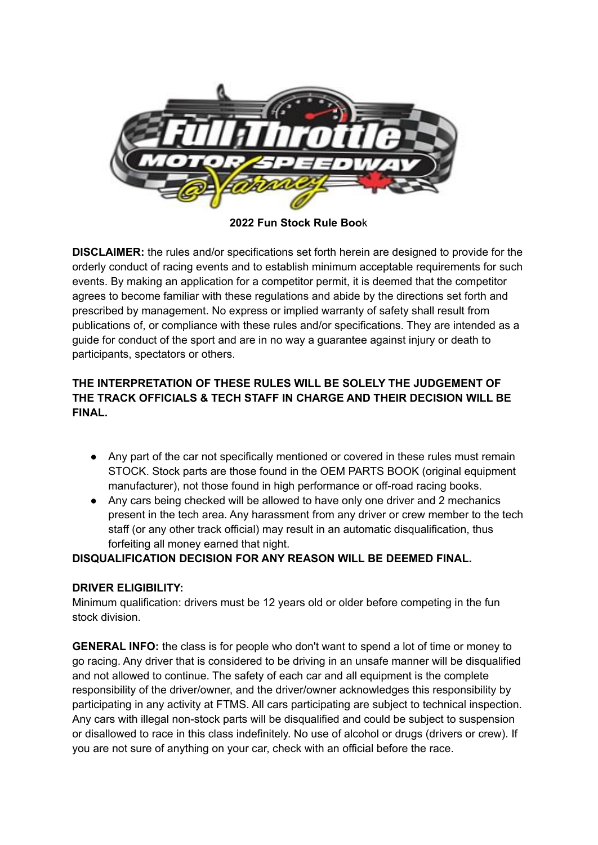

**2022 Fun Stock Rule Boo**k

**DISCLAIMER:** the rules and/or specifications set forth herein are designed to provide for the orderly conduct of racing events and to establish minimum acceptable requirements for such events. By making an application for a competitor permit, it is deemed that the competitor agrees to become familiar with these regulations and abide by the directions set forth and prescribed by management. No express or implied warranty of safety shall result from publications of, or compliance with these rules and/or specifications. They are intended as a guide for conduct of the sport and are in no way a guarantee against injury or death to participants, spectators or others.

# **THE INTERPRETATION OF THESE RULES WILL BE SOLELY THE JUDGEMENT OF THE TRACK OFFICIALS & TECH STAFF IN CHARGE AND THEIR DECISION WILL BE FINAL.**

- Any part of the car not specifically mentioned or covered in these rules must remain STOCK. Stock parts are those found in the OEM PARTS BOOK (original equipment manufacturer), not those found in high performance or off-road racing books.
- Any cars being checked will be allowed to have only one driver and 2 mechanics present in the tech area. Any harassment from any driver or crew member to the tech staff (or any other track official) may result in an automatic disqualification, thus forfeiting all money earned that night.

### **DISQUALIFICATION DECISION FOR ANY REASON WILL BE DEEMED FINAL.**

### **DRIVER ELIGIBILITY:**

Minimum qualification: drivers must be 12 years old or older before competing in the fun stock division.

**GENERAL INFO:** the class is for people who don't want to spend a lot of time or money to go racing. Any driver that is considered to be driving in an unsafe manner will be disqualified and not allowed to continue. The safety of each car and all equipment is the complete responsibility of the driver/owner, and the driver/owner acknowledges this responsibility by participating in any activity at FTMS. All cars participating are subject to technical inspection. Any cars with illegal non-stock parts will be disqualified and could be subject to suspension or disallowed to race in this class indefinitely. No use of alcohol or drugs (drivers or crew). If you are not sure of anything on your car, check with an official before the race.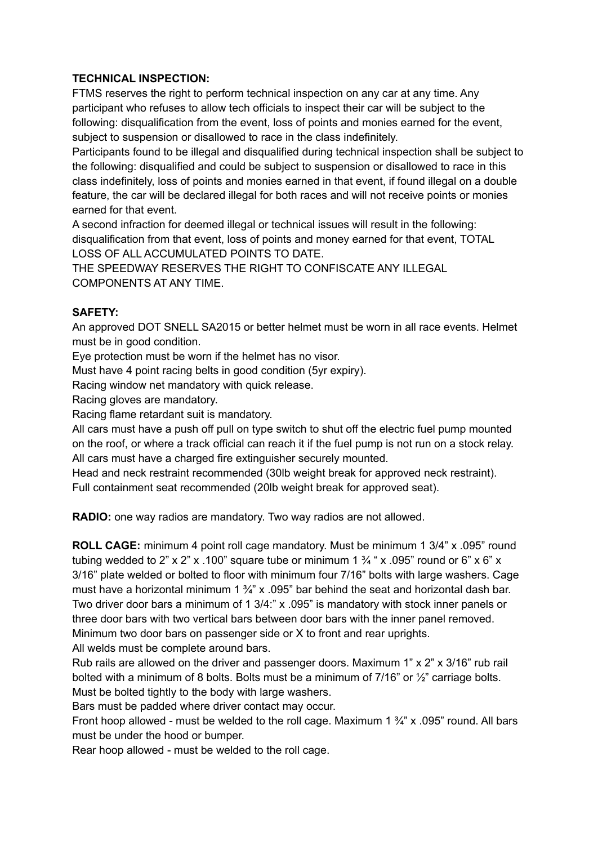#### **TECHNICAL INSPECTION:**

FTMS reserves the right to perform technical inspection on any car at any time. Any participant who refuses to allow tech officials to inspect their car will be subject to the following: disqualification from the event, loss of points and monies earned for the event, subject to suspension or disallowed to race in the class indefinitely.

Participants found to be illegal and disqualified during technical inspection shall be subject to the following: disqualified and could be subject to suspension or disallowed to race in this class indefinitely, loss of points and monies earned in that event, if found illegal on a double feature, the car will be declared illegal for both races and will not receive points or monies earned for that event.

A second infraction for deemed illegal or technical issues will result in the following: disqualification from that event, loss of points and money earned for that event, TOTAL LOSS OF ALL ACCUMULATED POINTS TO DATE.

THE SPEEDWAY RESERVES THE RIGHT TO CONFISCATE ANY ILLEGAL COMPONENTS AT ANY TIME.

### **SAFETY:**

An approved DOT SNELL SA2015 or better helmet must be worn in all race events. Helmet must be in good condition.

Eye protection must be worn if the helmet has no visor.

Must have 4 point racing belts in good condition (5yr expiry).

Racing window net mandatory with quick release.

Racing gloves are mandatory.

Racing flame retardant suit is mandatory.

All cars must have a push off pull on type switch to shut off the electric fuel pump mounted on the roof, or where a track official can reach it if the fuel pump is not run on a stock relay. All cars must have a charged fire extinguisher securely mounted.

Head and neck restraint recommended (30lb weight break for approved neck restraint). Full containment seat recommended (20lb weight break for approved seat).

**RADIO:** one way radios are mandatory. Two way radios are not allowed.

**ROLL CAGE:** minimum 4 point roll cage mandatory. Must be minimum 1 3/4" x .095" round tubing wedded to 2" x 2" x .100" square tube or minimum 1  $\frac{3}{4}$  " x .095" round or 6" x 6" x 3/16" plate welded or bolted to floor with minimum four 7/16" bolts with large washers. Cage must have a horizontal minimum 1  $\frac{3}{4}$ " x .095" bar behind the seat and horizontal dash bar. Two driver door bars a minimum of 1 3/4:" x .095" is mandatory with stock inner panels or three door bars with two vertical bars between door bars with the inner panel removed. Minimum two door bars on passenger side or X to front and rear uprights. All welds must be complete around bars.

Rub rails are allowed on the driver and passenger doors. Maximum 1" x 2" x 3/16" rub rail bolted with a minimum of 8 bolts. Bolts must be a minimum of 7/16" or ½" carriage bolts. Must be bolted tightly to the body with large washers.

Bars must be padded where driver contact may occur.

Front hoop allowed - must be welded to the roll cage. Maximum 1  $\frac{3}{4}$ " x .095" round. All bars must be under the hood or bumper.

Rear hoop allowed - must be welded to the roll cage.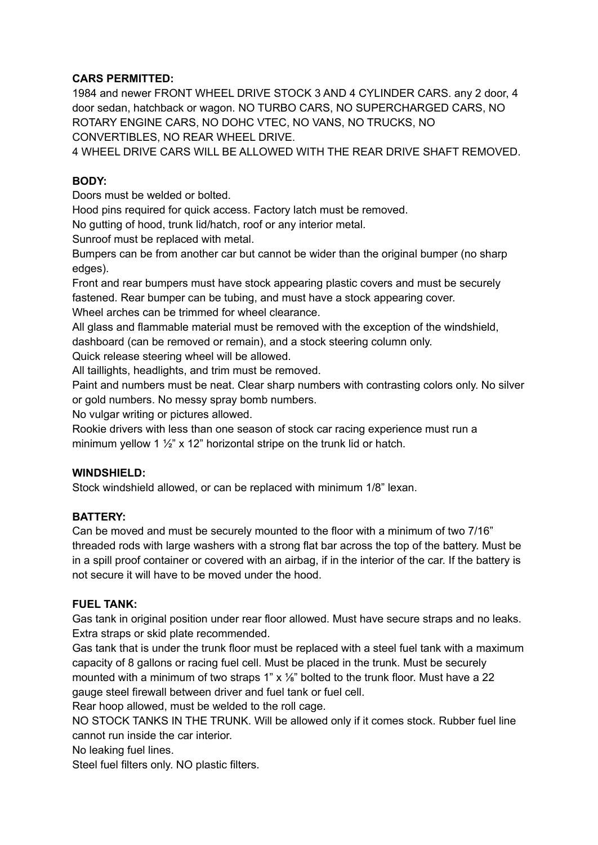### **CARS PERMITTED:**

1984 and newer FRONT WHEEL DRIVE STOCK 3 AND 4 CYLINDER CARS. any 2 door, 4 door sedan, hatchback or wagon. NO TURBO CARS, NO SUPERCHARGED CARS, NO ROTARY ENGINE CARS, NO DOHC VTEC, NO VANS, NO TRUCKS, NO CONVERTIBLES, NO REAR WHEEL DRIVE.

4 WHEEL DRIVE CARS WILL BE ALLOWED WITH THE REAR DRIVE SHAFT REMOVED.

## **BODY:**

Doors must be welded or bolted.

Hood pins required for quick access. Factory latch must be removed.

No gutting of hood, trunk lid/hatch, roof or any interior metal.

Sunroof must be replaced with metal.

Bumpers can be from another car but cannot be wider than the original bumper (no sharp edges).

Front and rear bumpers must have stock appearing plastic covers and must be securely fastened. Rear bumper can be tubing, and must have a stock appearing cover.

Wheel arches can be trimmed for wheel clearance.

All glass and flammable material must be removed with the exception of the windshield, dashboard (can be removed or remain), and a stock steering column only.

Quick release steering wheel will be allowed.

All taillights, headlights, and trim must be removed.

Paint and numbers must be neat. Clear sharp numbers with contrasting colors only. No silver or gold numbers. No messy spray bomb numbers.

No vulgar writing or pictures allowed.

Rookie drivers with less than one season of stock car racing experience must run a minimum yellow 1 ½" x 12" horizontal stripe on the trunk lid or hatch.

### **WINDSHIELD:**

Stock windshield allowed, or can be replaced with minimum 1/8" lexan.

### **BATTERY:**

Can be moved and must be securely mounted to the floor with a minimum of two 7/16" threaded rods with large washers with a strong flat bar across the top of the battery. Must be in a spill proof container or covered with an airbag, if in the interior of the car. If the battery is not secure it will have to be moved under the hood.

### **FUEL TANK:**

Gas tank in original position under rear floor allowed. Must have secure straps and no leaks. Extra straps or skid plate recommended.

Gas tank that is under the trunk floor must be replaced with a steel fuel tank with a maximum capacity of 8 gallons or racing fuel cell. Must be placed in the trunk. Must be securely mounted with a minimum of two straps 1"  $\times$  1/8" bolted to the trunk floor. Must have a 22 gauge steel firewall between driver and fuel tank or fuel cell.

Rear hoop allowed, must be welded to the roll cage.

NO STOCK TANKS IN THE TRUNK. Will be allowed only if it comes stock. Rubber fuel line cannot run inside the car interior.

No leaking fuel lines.

Steel fuel filters only. NO plastic filters.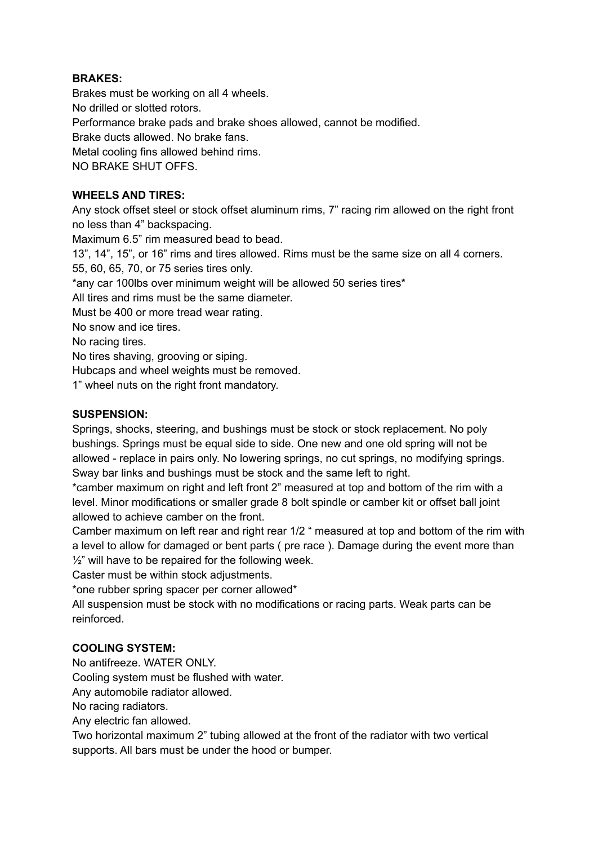### **BRAKES:**

Brakes must be working on all 4 wheels. No drilled or slotted rotors. Performance brake pads and brake shoes allowed, cannot be modified. Brake ducts allowed. No brake fans. Metal cooling fins allowed behind rims. NO BRAKE SHUT OFFS.

#### **WHEELS AND TIRES:**

Any stock offset steel or stock offset aluminum rims, 7" racing rim allowed on the right front no less than 4" backspacing.

Maximum 6.5" rim measured bead to bead.

13", 14", 15", or 16" rims and tires allowed. Rims must be the same size on all 4 corners.

55, 60, 65, 70, or 75 series tires only.

\*any car 100lbs over minimum weight will be allowed 50 series tires\*

All tires and rims must be the same diameter.

Must be 400 or more tread wear rating.

No snow and ice tires.

No racing tires.

No tires shaving, grooving or siping.

Hubcaps and wheel weights must be removed.

1" wheel nuts on the right front mandatory.

#### **SUSPENSION:**

Springs, shocks, steering, and bushings must be stock or stock replacement. No poly bushings. Springs must be equal side to side. One new and one old spring will not be allowed - replace in pairs only. No lowering springs, no cut springs, no modifying springs. Sway bar links and bushings must be stock and the same left to right.

\*camber maximum on right and left front 2" measured at top and bottom of the rim with a level. Minor modifications or smaller grade 8 bolt spindle or camber kit or offset ball joint allowed to achieve camber on the front.

Camber maximum on left rear and right rear 1/2 " measured at top and bottom of the rim with a level to allow for damaged or bent parts ( pre race ). Damage during the event more than  $\frac{1}{2}$ " will have to be repaired for the following week.

Caster must be within stock adjustments.

\*one rubber spring spacer per corner allowed\*

All suspension must be stock with no modifications or racing parts. Weak parts can be reinforced.

### **COOLING SYSTEM:**

No antifreeze. WATER ONLY.

Cooling system must be flushed with water.

Any automobile radiator allowed.

No racing radiators.

Any electric fan allowed.

Two horizontal maximum 2" tubing allowed at the front of the radiator with two vertical supports. All bars must be under the hood or bumper.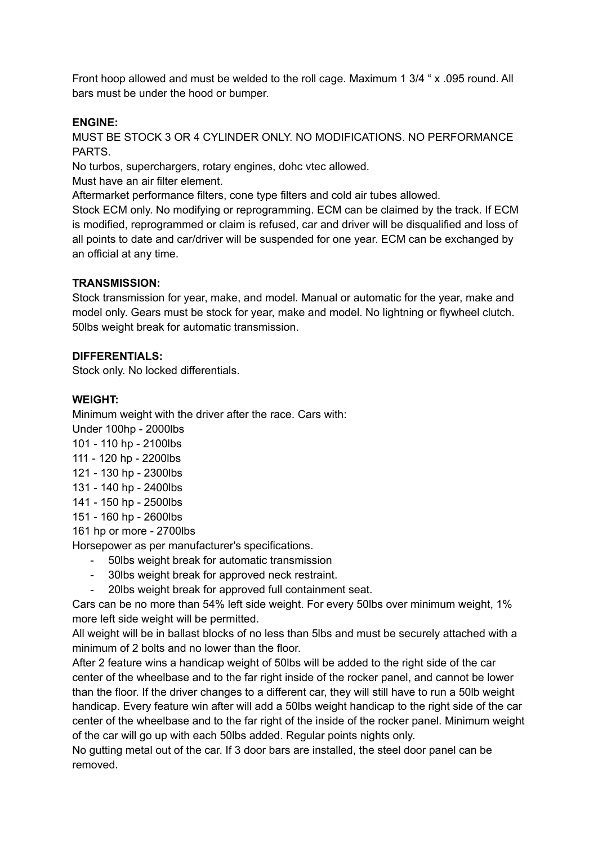Front hoop allowed and must be welded to the roll cage. Maximum 1 3/4 " x .095 round. All bars must be under the hood or bumper.

#### **ENGINE:**

MUST BE STOCK 3 OR 4 CYLINDER ONLY. NO MODIFICATIONS. NO PERFORMANCE PARTS.

No turbos, superchargers, rotary engines, dohc vtec allowed.

Must have an air filter element.

Aftermarket performance filters, cone type filters and cold air tubes allowed.

Stock ECM only. No modifying or reprogramming. ECM can be claimed by the track. If ECM is modified, reprogrammed or claim is refused, car and driver will be disqualified and loss of all points to date and car/driver will be suspended for one year. ECM can be exchanged by an official at any time.

#### **TRANSMISSION:**

Stock transmission for year, make, and model. Manual or automatic for the year, make and model only. Gears must be stock for year, make and model. No lightning or flywheel clutch. 50lbs weight break for automatic transmission.

#### **DIFFERENTIALS:**

Stock only. No locked differentials.

#### **WEIGHT:**

Minimum weight with the driver after the race. Cars with:

Under 100hp - 2000lbs

- 101 110 hp 2100lbs
- 111 120 hp 2200lbs
- 121 130 hp 2300lbs
- 131 140 hp 2400lbs
- 141 150 hp 2500lbs
- 151 160 hp 2600lbs

161 hp or more - 2700lbs

Horsepower as per manufacturer's specifications.

- 50lbs weight break for automatic transmission
- 30lbs weight break for approved neck restraint.
- 20lbs weight break for approved full containment seat.

Cars can be no more than 54% left side weight. For every 50lbs over minimum weight, 1% more left side weight will be permitted.

All weight will be in ballast blocks of no less than 5lbs and must be securely attached with a minimum of 2 bolts and no lower than the floor.

After 2 feature wins a handicap weight of 50lbs will be added to the right side of the car center of the wheelbase and to the far right inside of the rocker panel, and cannot be lower than the floor. If the driver changes to a different car, they will still have to run a 50lb weight handicap. Every feature win after will add a 50lbs weight handicap to the right side of the car center of the wheelbase and to the far right of the inside of the rocker panel. Minimum weight of the car will go up with each 50lbs added. Regular points nights only.

No gutting metal out of the car. If 3 door bars are installed, the steel door panel can be removed.